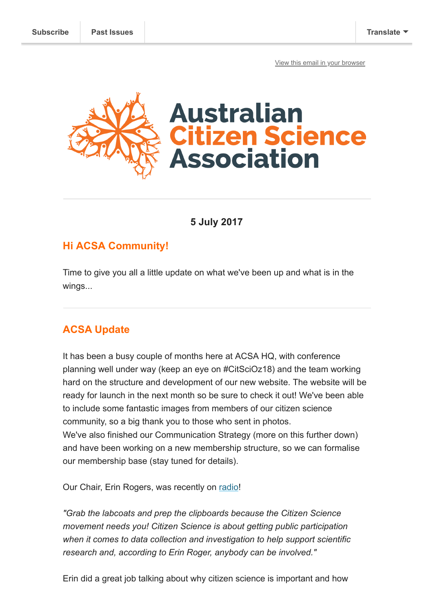[View this email in your browser](https://mailchi.mp/8b39ac121f66/acsa-update-and-reflections-on-citsci2017?e=[UNIQID])



**5 July 2017**

### **Hi ACSA Community!**

Time to give you all a little update on what we've been up and what is in the wings...

# **ACSA Update**

It has been a busy couple of months here at ACSA HQ, with conference planning well under way (keep an eye on #CitSciOz18) and the team working hard on the structure and development of our new website. The website will be ready for launch in the next month so be sure to check it out! We've been able to include some fantastic images from members of our citizen science community, so a big thank you to those who sent in photos. We've also finished our Communication Strategy (more on this further down) and have been working on a new membership structure, so we can formalise our membership base (stay tuned for details).

Our Chair, Erin Rogers, was recently on [radio!](http://2ser.com/citizen-science-everybody/)

*"Grab the labcoats and prep the clipboards because the Citizen Science movement needs you! Citizen Science is about getting public participation when it comes to data collection and investigation to help support scientific research and, according to Erin Roger, anybody can be involved."*

Erin did a great job talking about why citizen science is important and how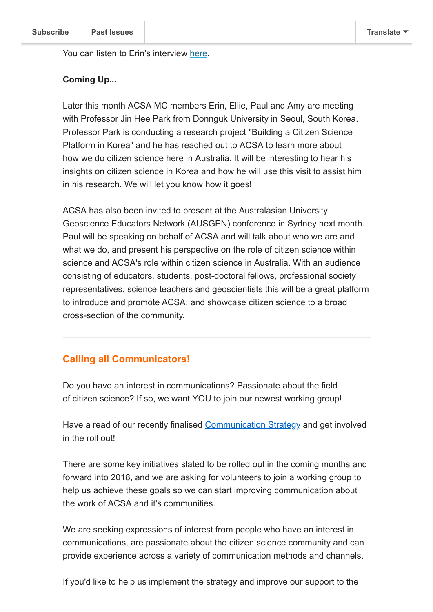You can listen to Erin's interview [here](http://2ser.com/citizen-science-everybody/).

#### **Coming Up...**

Later this month ACSA MC members Erin, Ellie, Paul and Amy are meeting with Professor Jin Hee Park from Donnguk University in Seoul, South Korea. Professor Park is conducting a research project "Building a Citizen Science Platform in Korea" and he has reached out to ACSA to learn more about how we do citizen science here in Australia. It will be interesting to hear his insights on citizen science in Korea and how he will use this visit to assist him in his research. We will let you know how it goes!

ACSA has also been invited to present at the Australasian University Geoscience Educators Network (AUSGEN) conference in Sydney next month. Paul will be speaking on behalf of ACSA and will talk about who we are and what we do, and present his perspective on the role of citizen science within science and ACSA's role within citizen science in Australia. With an audience consisting of educators, students, post-doctoral fellows, professional society representatives, science teachers and geoscientists this will be a great platform to introduce and promote ACSA, and showcase citizen science to a broad cross-section of the community.

#### **Calling all Communicators!**

Do you have an interest in communications? Passionate about the field of citizen science? If so, we want YOU to join our newest working group!

Have a read of our recently finalised [Communication Strategy](http://bit.ly/2ulru7O) and get involved in the roll out!

There are some key initiatives slated to be rolled out in the coming months and forward into 2018, and we are asking for volunteers to join a working group to help us achieve these goals so we can start improving communication about the work of ACSA and it's communities.

We are seeking expressions of interest from people who have an interest in communications, are passionate about the citizen science community and can provide experience across a variety of communication methods and channels.

If you'd like to help us implement the strategy and improve our support to the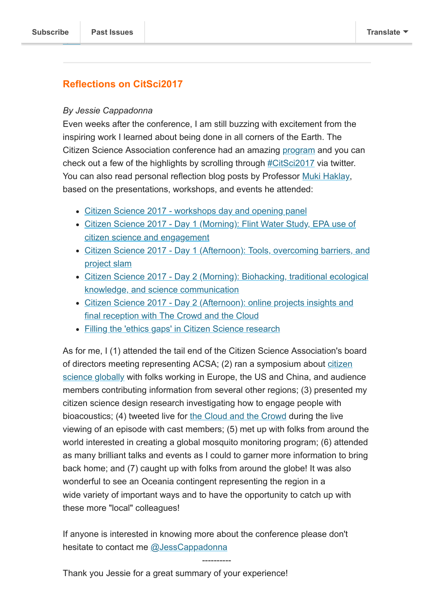## **Reflections on CitSci2017**

#### *By Jessie Cappadonna*

Even weeks after the conference, I am still buzzing with excitement from the inspiring work I learned about being done in all corners of the Earth. The Citizen Science Association conference had an amazing [program](https://csa2017.sched.com/) and you can check out a few of the highlights by scrolling through #CitSci2017 via twitter. You can also read personal reflection blog posts by Professor [Muki Haklay](http://www.ucl.ac.uk/excites/people/academic-staff/muki-haklay), based on the presentations, workshops, and events he attended:

- [Citizen Science 2017 workshops day and opening panel](https://povesham.wordpress.com/2017/05/18/citizen-science-2017-workshops-day-and-opening-panel/)
- [Citizen Science 2017 Day 1 \(Morning\): Flint Water Study, EPA use of](https://povesham.wordpress.com/2017/05/19/citizen-science-2017-day-1-morning-flint-water-study-epa-use-of-citizen-science-and-engagement/) citizen science and engagement
- [Citizen Science 2017 Day 1 \(Afternoon\): Tools, overcoming barriers, and](https://povesham.wordpress.com/2017/05/19/citizen-science-2017-day-1-afternoon-tools-overcoming-barriers-and-project-slam/) project slam
- [Citizen Science 2017 Day 2 \(Morning\): Biohacking, traditional ecological](https://povesham.wordpress.com/2017/05/20/citizen-science-2017-day-2-morning-biohacking-traditional-ecological-knowledge-and-science-communication/) knowledge, and science communication
- [Citizen Science 2017 Day 2 \(Afternoon\): online projects insights and](https://povesham.wordpress.com/2017/05/20/citizen-science-2017-day-2-afternoon-online-projects-insights-and-final-reception-with-the-crowd-and-the-cloud/) final reception with The Crowd and the Cloud
- [Filling the 'ethics gaps' in Citizen Science research](https://povesham.wordpress.com/2017/05/20/citizen-science-2017-filling-the-ethics-gaps-in-citizen-science-research/)

As for me, I (1) attended the tail end of the Citizen Science Association's board [of directors meeting representing ACSA; \(2\) ran a symposium about citizen](https://csa2017.sched.com/event/ARKP) science globally with folks working in Europe, the US and China, and audience members contributing information from several other regions; (3) presented my citizen science design research investigating how to engage people with bioacoustics; (4) tweeted live for [the Cloud and the Crowd](http://crowdandcloud.org/) during the live viewing of an episode with cast members; (5) met up with folks from around the world interested in creating a global mosquito monitoring program; (6) attended as many brilliant talks and events as I could to garner more information to bring back home; and (7) caught up with folks from around the globe! It was also wonderful to see an Oceania contingent representing the region in a wide variety of important ways and to have the opportunity to catch up with these more "local" colleagues!

If anyone is interested in knowing more about the conference please don't hesitate to contact me [@JessCappadonna](https://twitter.com/JessCappadonna)

----------

Thank you Jessie for a great summary of your experience!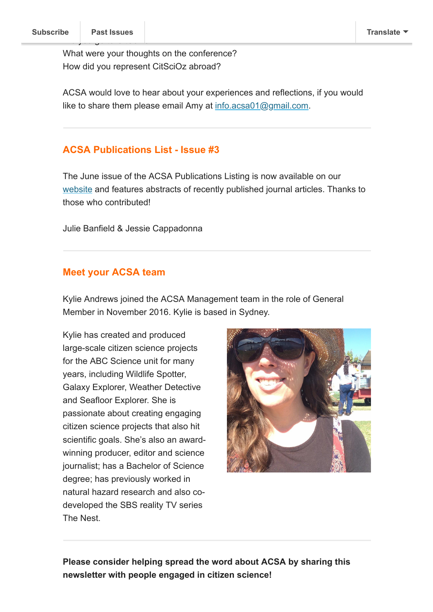What were your thoughts on the conference? How did you represent CitSciOz abroad?

ACSA would love to hear about your experiences and reflections, if you would like to share them please email Amy at [info.acsa01@gmail.com](mailto:info.acsa01@gmail.com).

### **ACSA Publications List - Issue #3**

The June issue of the ACSA Publications Listing is now available on our [website](http://csna.gaiaresources.com.au/wordpress/wp-content/uploads/2017/07/ACSA-Publications-Listing-No.-3_Jun2017.pdf) and features abstracts of recently published journal articles. Thanks to those who contributed!

Julie Banfield & Jessie Cappadonna

### **Meet your ACSA team**

Kylie Andrews joined the ACSA Management team in the role of General Member in November 2016. Kylie is based in Sydney.

Kylie has created and produced large-scale citizen science projects for the ABC Science unit for many years, including Wildlife Spotter, Galaxy Explorer, Weather Detective and Seafloor Explorer. She is passionate about creating engaging citizen science projects that also hit scientific goals. She's also an awardwinning producer, editor and science journalist; has a Bachelor of Science degree; has previously worked in natural hazard research and also codeveloped the SBS reality TV series The Nest.



**Please consider helping spread the word about ACSA by sharing this newsletter with people engaged in citizen science!**